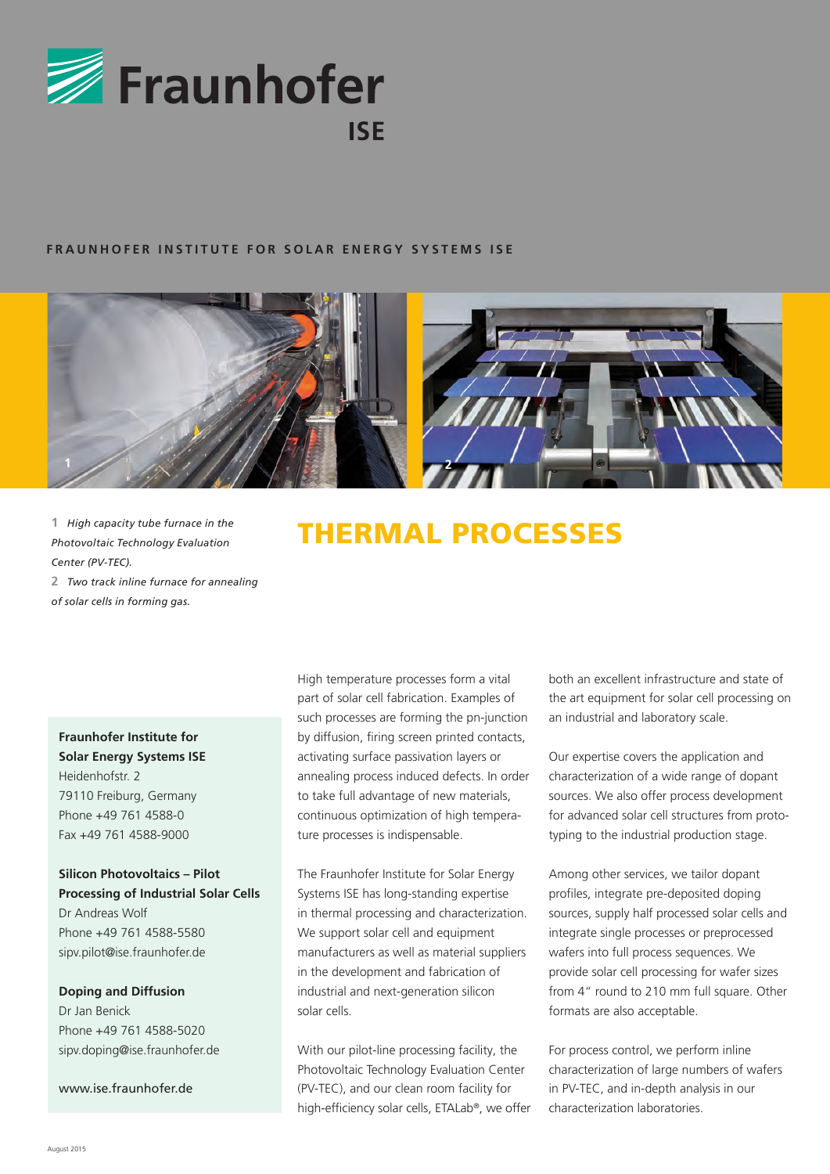

#### **FRAUNHOFER INSTITUTE FOR SOLAR ENERGY SYSTEMS ISE**



**1** *High capacity tube furnace in the Photovoltaic Technology Evaluation Center (PV-TEC).* **2** *Two track inline furnace for annealing of solar cells in forming gas.*

# **Fraunhofer Institute for Solar Energy Systems ISE** Heidenhofstr. 2 79110 Freiburg, Germany Phone +49 761 4588-0 Fax +49 761 4588-9000

# **Silicon Photovoltaics – Pilot Processing of Industrial Solar Cells** Dr Andreas Wolf Phone +49 761 4588-5580

## **Doping and Diffusion**

sipv.pilot@ise.fraunhofer.de

Dr Jan Benick Phone +49 761 4588-5020 sipv.doping@ise.fraunhofer.de

www.ise.fraunhofer.de

# THERMAL PROCESSES

High temperature processes form a vital part of solar cell fabrication. Examples of such processes are forming the pn-junction by diffusion, firing screen printed contacts, activating surface passivation layers or annealing process induced defects. In order to take full advantage of new materials, continuous optimization of high temperature processes is indispensable.

The Fraunhofer Institute for Solar Energy Systems ISE has long-standing expertise in thermal processing and characterization. We support solar cell and equipment manufacturers as well as material suppliers in the development and fabrication of industrial and next-generation silicon solar cells.

With our pilot-line processing facility, the Photovoltaic Technology Evaluation Center (PV-TEC), and our clean room facility for high-efficiency solar cells, ETALab®, we offer both an excellent infrastructure and state of the art equipment for solar cell processing on an industrial and laboratory scale.

Our expertise covers the application and characterization of a wide range of dopant sources. We also offer process development for advanced solar cell structures from prototyping to the industrial production stage.

Among other services, we tailor dopant profiles, integrate pre-deposited doping sources, supply half processed solar cells and integrate single processes or preprocessed wafers into full process sequences. We provide solar cell processing for wafer sizes from 4" round to 210 mm full square. Other formats are also acceptable.

For process control, we perform inline characterization of large numbers of wafers in PV-TEC, and in-depth analysis in our characterization laboratories.